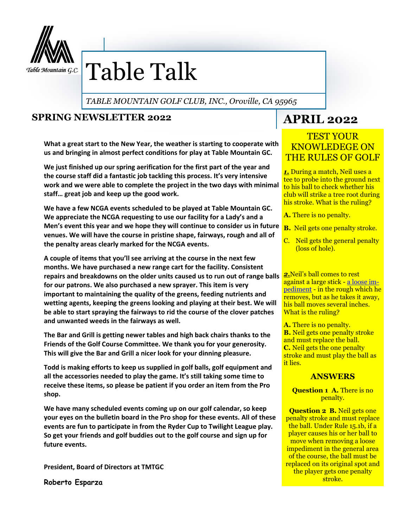

# Table Talk

*TABLE MOUNTAIN GOLF CLUB, INC., Oroville, CA 95965*

### **SPRING NEWSLETTER 2022**

**What a great start to the New Year, the weather is starting to cooperate with us and bringing in almost perfect conditions for play at Table Mountain GC.**

**We just finished up our spring aerification for the first part of the year and the course staff did a fantastic job tackling this process. It's very intensive work and we were able to complete the project in the two days with minimal staff… great job and keep up the good work.**

**We have a few NCGA events scheduled to be played at Table Mountain GC. We appreciate the NCGA requesting to use our facility for a Lady's and a Men's event this year and we hope they will continue to consider us in future venues. We will have the course in pristine shape, fairways, rough and all of the penalty areas clearly marked for the NCGA events.**

repairs and breakdowns on the older units caused us to run out of range balls **2.** Neil's ball comes to rest **A couple of items that you'll see arriving at the course in the next few months. We have purchased a new range cart for the facility. Consistent for our patrons. We also purchased a new sprayer. This item is very important to maintaining the quality of the greens, feeding nutrients and wetting agents, keeping the greens looking and playing at their best. We will be able to start spraying the fairways to rid the course of the clover patches and unwanted weeds in the fairways as well.**

**The Bar and Grill is getting newer tables and high back chairs thanks to the Friends of the Golf Course Committee. We thank you for your generosity. This will give the Bar and Grill a nicer look for your dinning pleasure.**

**Todd is making efforts to keep us supplied in golf balls, golf equipment and all the accessories needed to play the game. It's still taking some time to receive these items, so please be patient if you order an item from the Pro shop.**

**We have many scheduled events coming up on our golf calendar, so keep your eyes on the bulletin board in the Pro shop for these events. All of these events are fun to participate in from the Ryder Cup to Twilight League play. So get your friends and golf buddies out to the golf course and sign up for future events.**

**President, Board of Directors at TMTGC**

**Roberto Esparza**

## **APRIL 2022**

#### TEST YOUR KNOWLEDEGE ON THE RULES OF GOLF

*1.* During a match, Neil uses a tee to probe into the ground next to his ball to check whether his club will strike a tree root during his stroke. What is the ruling?

- **A.** There is no penalty.
- **B.** Neil gets one penalty stroke.
- C. Neil gets the general penalty (loss of hole).

against a large stick - [a loose im](https://www.golfmonthly.com/features/golf-rules/what-are-loose-impediments-in-golf-220892)[pediment](https://www.golfmonthly.com/features/golf-rules/what-are-loose-impediments-in-golf-220892) - in the rough which he removes, but as he takes it away, his ball moves several inches. What is the ruling?

**A.** There is no penalty. **B.** Neil gets one penalty stroke and must replace the ball. **C.** Neil gets the one penalty stroke and must play the ball as it lies.

#### **ANSWERS**

**Question 1 A. There is no** penalty.

**Question 2 B. Neil gets one** penalty stroke and must replace the ball. Under Rule 15.1b, if a player causes his or her ball to move when removing a loose impediment in the general area of the course, the ball must be replaced on its original spot and the player gets one penalty stroke.